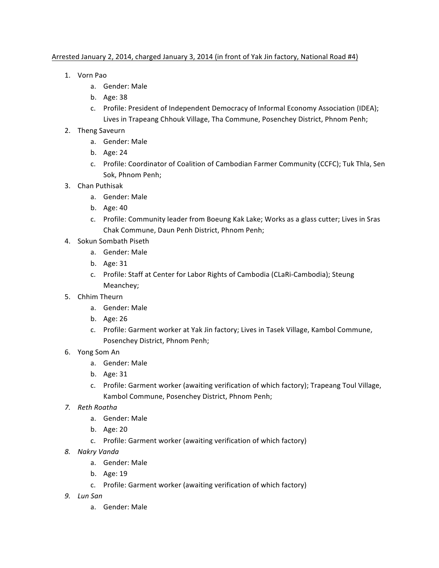## Arrested January 2, 2014, charged January 3, 2014 (in front of Yak Jin factory, National Road #4)

- 1. Vorn Pao
	- a. Gender: Male
	- b. Age: 38
	- c. Profile: President of Independent Democracy of Informal Economy Association (IDEA); Lives in Trapeang Chhouk Village, Tha Commune, Posenchey District, Phnom Penh;
- 2. Theng Saveurn
	- a. Gender: Male
	- b. Age: 24
	- c. Profile: Coordinator of Coalition of Cambodian Farmer Community (CCFC); Tuk Thla, Sen Sok, Phnom Penh;
- 3. Chan Puthisak
	- a. Gender: Male
	- b. Age: 40
	- c. Profile: Community leader from Boeung Kak Lake; Works as a glass cutter; Lives in Sras Chak Commune, Daun Penh District, Phnom Penh;
- 4. Sokun Sombath Piseth
	- a. Gender: Male
	- b. Age: 31
	- c. Profile: Staff at Center for Labor Rights of Cambodia (CLaRi-Cambodia); Steung Meanchey;
- 5. Chhim Theurn
	- a. Gender: Male
	- b. Age: 26
	- c. Profile: Garment worker at Yak Jin factory; Lives in Tasek Village, Kambol Commune, Posenchey District, Phnom Penh;
- 6. Yong Som An
	- a. Gender: Male
	- b. Age: 31
	- c. Profile: Garment worker (awaiting verification of which factory); Trapeang Toul Village, Kambol Commune, Posenchey District, Phnom Penh;
- *7. Reth Roatha*
	- a. Gender: Male
	- b. Age: 20
	- c. Profile: Garment worker (awaiting verification of which factory)
- *8. Nakry Vanda*
	- a. Gender: Male
	- b. Age: 19
	- c. Profile: Garment worker (awaiting verification of which factory)
- *9. Lun San*
	- a. Gender: Male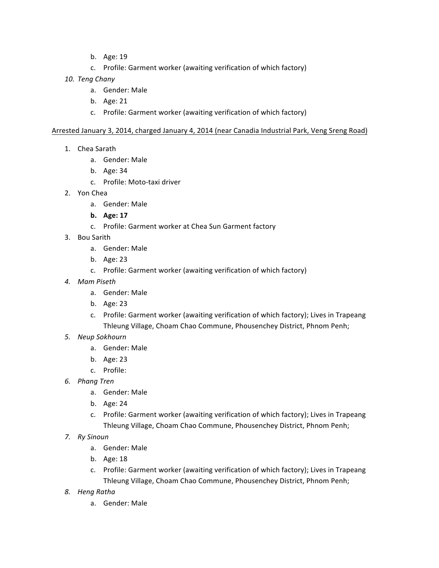- b. Age: 19
- c. Profile: Garment worker (awaiting verification of which factory)
- *10. Teng Chany*
	- a. Gender: Male
	- b. Age: 21
	- c. Profile: Garment worker (awaiting verification of which factory)

## Arrested January 3, 2014, charged January 4, 2014 (near Canadia Industrial Park, Veng Sreng Road)

- 1. Chea Sarath
	- a. Gender: Male
	- b. Age: 34
	- c. Profile: Moto-taxi driver
- 2. Yon Chea
	- a. Gender: Male
	- **b. Age: 17**
	- c. Profile: Garment worker at Chea Sun Garment factory
- 3. Bou Sarith
	- a. Gender: Male
	- b. Age: 23
	- c. Profile: Garment worker (awaiting verification of which factory)
- *4. Mam Piseth* 
	- a. Gender: Male
	- b. Age: 23
	- c. Profile: Garment worker (awaiting verification of which factory); Lives in Trapeang Thleung Village, Choam Chao Commune, Phousenchey District, Phnom Penh;
- *5. Neup Sokhourn*
	- a. Gender: Male
	- b. Age: 23
	- c. Profile:
- *6. Phang Tren*
	- a. Gender: Male
	- b. Age: 24
	- c. Profile: Garment worker (awaiting verification of which factory); Lives in Trapeang Thleung Village, Choam Chao Commune, Phousenchey District, Phnom Penh;
- *7. Ry Sinoun*
	- a. Gender: Male
	- b. Age: 18
	- c. Profile: Garment worker (awaiting verification of which factory); Lives in Trapeang Thleung Village, Choam Chao Commune, Phousenchey District, Phnom Penh;
- *8. Heng Ratha*
	- a. Gender: Male